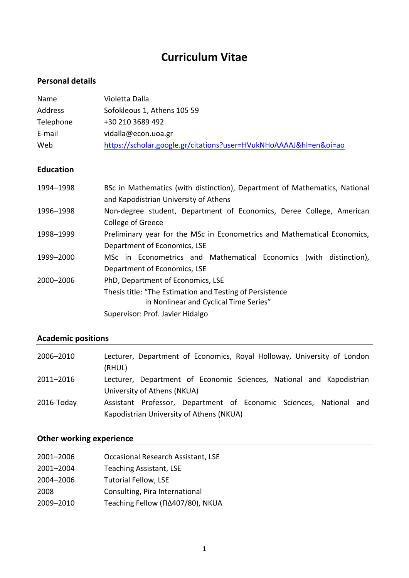# **Curriculum Vitae**

### **Personal details**

| Name      | Violetta Dalla                                                    |
|-----------|-------------------------------------------------------------------|
| Address   | Sofokleous 1, Athens 105 59                                       |
| Telephone | +30 210 3689 492                                                  |
| E-mail    | vidalla@econ.uoa.gr                                               |
| Web       | https://scholar.google.gr/citations?user=HVukNHoAAAAJ&hl=en&oi=ao |

### **Education**

| 1994-1998 | BSc in Mathematics (with distinction), Department of Mathematics, National<br>and Kapodistrian University of Athens |
|-----------|---------------------------------------------------------------------------------------------------------------------|
| 1996-1998 | Non-degree student, Department of Economics, Deree College, American<br>College of Greece                           |
| 1998-1999 | Preliminary year for the MSc in Econometrics and Mathematical Economics,<br>Department of Economics, LSE            |
| 1999-2000 | MSc in Econometrics and Mathematical Economics (with distinction),<br>Department of Economics, LSE                  |
| 2000-2006 | PhD, Department of Economics, LSE                                                                                   |
|           | Thesis title: "The Estimation and Testing of Persistence<br>in Nonlinear and Cyclical Time Series"                  |
|           | Supervisor: Prof. Javier Hidalgo                                                                                    |

# **Academic positions**

| 2006-2010  | Lecturer, Department of Economics, Royal Holloway, University of London<br>(RHUL)                              |
|------------|----------------------------------------------------------------------------------------------------------------|
| 2011–2016  | Lecturer, Department of Economic Sciences, National and Kapodistrian<br>University of Athens (NKUA)            |
| 2016-Today | Assistant Professor, Department of Economic Sciences, National and<br>Kapodistrian University of Athens (NKUA) |

# **Other working experience**

| 2001-2006 | Occasional Research Assistant, LSE     |
|-----------|----------------------------------------|
| 2001-2004 | <b>Teaching Assistant, LSE</b>         |
| 2004-2006 | <b>Tutorial Fellow, LSE</b>            |
| 2008      | Consulting, Pira International         |
| 2009-2010 | Teaching Fellow ( $\Box$ 407/80), NKUA |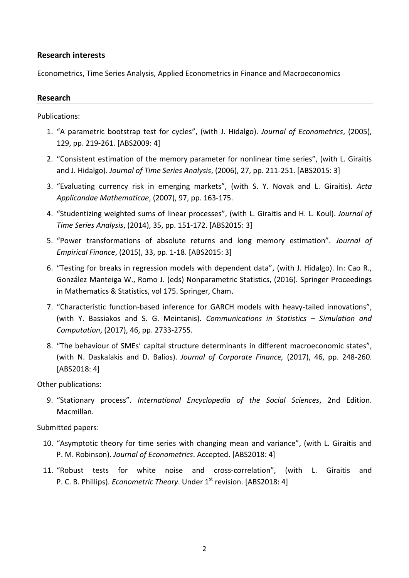#### **Research interests**

Econometrics, Time Series Analysis, Applied Econometrics in Finance and Macroeconomics

#### **Research**

Publications:

- 1. "A parametric bootstrap test for cycles", (with J. Hidalgo). *Journal of Econometrics*, (2005), 129, pp. 219-261. [ABS2009: 4]
- 2. "Consistent estimation of the memory parameter for nonlinear time series", (with L. Giraitis and J. Hidalgo). *Journal of Time Series Analysis*, (2006), 27, pp. 211-251. [ABS2015: 3]
- 3. "Evaluating currency risk in emerging markets", (with S. Y. Novak and L. Giraitis). *Acta Applicandae Mathematicae*, (2007), 97, pp. 163-175.
- 4. "Studentizing weighted sums of linear processes", (with L. Giraitis and H. L. Koul). *Journal of Time Series Analysis*, (2014), 35, pp. 151-172. [ABS2015: 3]
- 5. "Power transformations of absolute returns and long memory estimation". *Journal of Empirical Finance*, (2015), 33, pp. 1-18. [ABS2015: 3]
- 6. "Testing for breaks in regression models with dependent data", (with J. Hidalgo). In: Cao R., González Manteiga W., Romo J. (eds) Nonparametric Statistics, (2016). Springer Proceedings in Mathematics & Statistics, vol 175. Springer, Cham.
- 7. "Characteristic function-based inference for GARCH models with heavy-tailed innovations", (with Y. Bassiakos and S. G. Meintanis). *Communications in Statistics – Simulation and Computation*, (2017), 46, pp. 2733-2755.
- 8. "The behaviour of SMEs' capital structure determinants in different macroeconomic states", (with Ν. Daskalakis and D. Balios). *Journal of Corporate Finance,* (2017), 46, pp. 248-260. [ABS2018: 4]

Other publications:

9. "Stationary process". *International Encyclopedia of the Social Sciences*, 2nd Edition. Macmillan.

Submitted papers:

- 10. "Asymptotic theory for time series with changing mean and variance", (with L. Giraitis and P. M. Robinson). *Journal of Econometrics*. Accepted. [ABS2018: 4]
- 11. "Robust tests for white noise and cross-correlation", (with L. Giraitis and P. C. B. Phillips). *Econometric Theory*. Under 1<sup>st</sup> revision. [ABS2018: 4]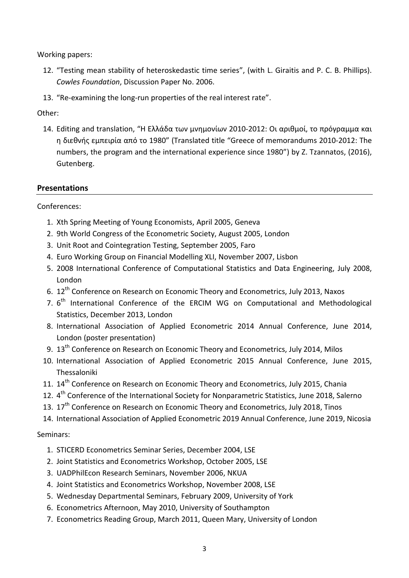Working papers:

- 12. "Testing mean stability of heteroskedastic time series", (with L. Giraitis and P. C. B. Phillips). *Cowles Foundation*, Discussion Paper No. 2006.
- 13. "Re-examining the long-run properties of the real interest rate".

Other:

14. Editing and translation, "Η Ελλάδα των μνημονίων 2010-2012: Οι αριθμοί, το πρόγραμμα και η διεθνής εμπειρία από το 1980" (Translated title "Greece of memorandums 2010-2012: The numbers, the program and the international experience since 1980") by Ζ. Tzannatos, (2016), Gutenberg.

#### **Presentations**

Conferences:

- 1. Xth Spring Meeting of Young Economists, April 2005, Geneva
- 2. 9th World Congress of the Econometric Society, August 2005, London
- 3. Unit Root and Cointegration Testing, September 2005, Faro
- 4. Euro Working Group on Financial Modelling XLI, November 2007, Lisbon
- 5. 2008 International Conference of Computational Statistics and Data Engineering, July 2008, London
- 6. 12th Conference on Research on Economic Theory and Econometrics, July 2013, Naxos
- 7. 6<sup>th</sup> International Conference of the ERCIM WG on Computational and Methodological Statistics, December 2013, London
- 8. International Association of Applied Econometric 2014 Annual Conference, June 2014, London (poster presentation)
- 9. 13<sup>th</sup> Conference on Research on Economic Theory and Econometrics, July 2014, Milos
- 10. International Association of Applied Econometric 2015 Annual Conference, June 2015, Thessaloniki
- 11. 14<sup>th</sup> Conference on Research on Economic Theory and Econometrics, July 2015, Chania
- 12. 4<sup>th</sup> Conference of the International Society for Nonparametric Statistics, June 2018, Salerno
- 13. 17<sup>th</sup> Conference on Research on Economic Theory and Econometrics, July 2018, Tinos
- 14. International Association of Applied Econometric 2019 Annual Conference, June 2019, Nicosia

#### Seminars:

- 1. STICERD Econometrics Seminar Series, December 2004, LSE
- 2. Joint Statistics and Econometrics Workshop, October 2005, LSE
- 3. UADPhilEcon Research Seminars, November 2006, NKUA
- 4. Joint Statistics and Econometrics Workshop, November 2008, LSE
- 5. Wednesday Departmental Seminars, February 2009, University of York
- 6. Econometrics Afternoon, May 2010, University of Southampton
- 7. Econometrics Reading Group, March 2011, Queen Mary, University of London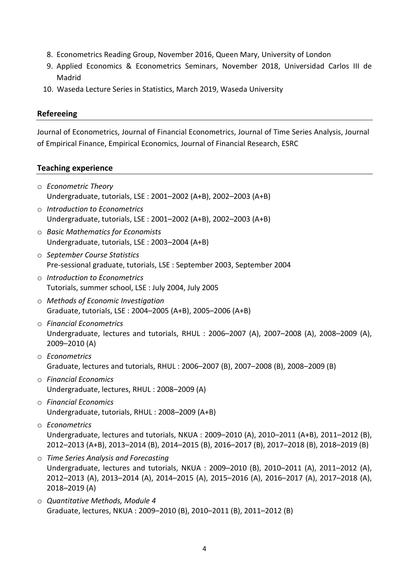- 8. Econometrics Reading Group, November 2016, Queen Mary, University of London
- 9. Applied Economics & Econometrics Seminars, November 2018, Universidad Carlos III de Madrid
- 10. Waseda Lecture Series in Statistics, March 2019, Waseda University

#### **Refereeing**

Journal of Econometrics, Journal of Financial Econometrics, Journal of Time Series Analysis, Journal of Empirical Finance, Empirical Economics, Journal of Financial Research, ESRC

#### **Teaching experience**

- o *Econometric Theory* Undergraduate, tutorials, LSE : 2001–2002 (A+B), 2002–2003 (A+B)
- o *Introduction to Econometrics* Undergraduate, tutorials, LSE : 2001–2002 (A+B), 2002–2003 (A+B)
- o *Basic Mathematics for Economists* Undergraduate, tutorials, LSE : 2003–2004 (A+B)
- o *September Course Statistics* Pre-sessional graduate, tutorials, LSE : September 2003, September 2004
- o *Introduction to Econometrics* Tutorials, summer school, LSE : July 2004, July 2005
- o *Methods of Economic Investigation* Graduate, tutorials, LSE : 2004–2005 (A+B), 2005–2006 (A+B)
- o *Financial Econometrics* Undergraduate, lectures and tutorials, RHUL : 2006–2007 (A), 2007–2008 (A), 2008–2009 (A), 2009–2010 (A)
- o *Econometrics* Graduate, lectures and tutorials, RHUL : 2006–2007 (B), 2007–2008 (B), 2008–2009 (B)
- o *Financial Economics* Undergraduate, lectures, RHUL : 2008–2009 (A)
- o *Financial Economics* Undergraduate, tutorials, RHUL : 2008–2009 (A+B)
- o *Econometrics* Undergraduate, lectures and tutorials, NKUA : 2009–2010 (A), 2010–2011 (A+B), 2011–2012 (B), 2012–2013 (A+B), 2013–2014 (B), 2014–2015 (B), 2016–2017 (B), 2017–2018 (B), 2018–2019 (B)
- o *Time Series Analysis and Forecasting* Undergraduate, lectures and tutorials, NKUA : 2009–2010 (B), 2010–2011 (A), 2011–2012 (A), 2012–2013 (A), 2013–2014 (A), 2014–2015 (A), 2015–2016 (A), 2016–2017 (A), 2017–2018 (A), 2018–2019 (A)
- o *Quantitative Methods, Module 4* Graduate, lectures, NKUA : 2009–2010 (B), 2010–2011 (B), 2011–2012 (B)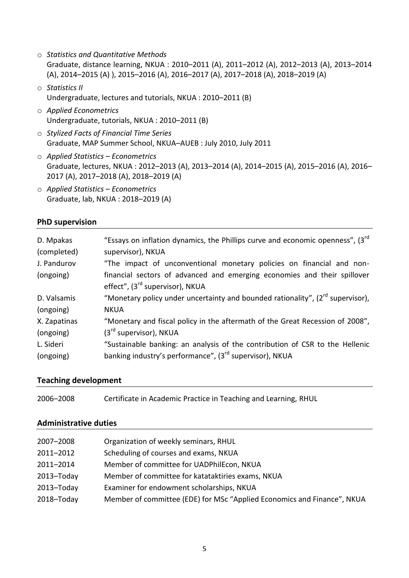- o *Statistics and Quantitative Methods* Graduate, distance learning, NKUA : 2010–2011 (A), 2011–2012 (A), 2012–2013 (A), 2013–2014 (A), 2014–2015 (A) ), 2015–2016 (A), 2016–2017 (A), 2017–2018 (A), 2018–2019 (A)
- o *Statistics ΙΙ* Undergraduate, lectures and tutorials, NKUA : 2010–2011 (B)
- o *Applied Econometrics* Undergraduate, tutorials, NKUA : 2010–2011 (B)
- o *Stylized Facts of Financial Time Series* Graduate, MAP Summer School, NKUA–AUEB : July 2010, July 2011
- o *Applied Statistics – Econometrics* Graduate, lectures, NKUA : 2012–2013 (A), 2013–2014 (A), 2014–2015 (A), 2015–2016 (A), 2016– 2017 (A), 2017–2018 (A), 2018–2019 (A)
- o *Applied Statistics – Econometrics* Graduate, lab, NKUA : 2018–2019 (A)

#### **PhD supervision**

| D. Mpakas<br>(completed) | "Essays on inflation dynamics, the Phillips curve and economic openness", (3rd<br>supervisor), NKUA                     |
|--------------------------|-------------------------------------------------------------------------------------------------------------------------|
| J. Pandurov              | "The impact of unconventional monetary policies on financial and non-                                                   |
| (ongoing)                | financial sectors of advanced and emerging economies and their spillover<br>effect", (3 <sup>rd</sup> supervisor), NKUA |
| D. Valsamis              | "Monetary policy under uncertainty and bounded rationality", (2 <sup>rd</sup> supervisor),                              |
| (ongoing)                | <b>NKUA</b>                                                                                                             |
| X. Zapatinas             | "Monetary and fiscal policy in the aftermath of the Great Recession of 2008",                                           |
| (ongoing)                | $(3rd$ supervisor), NKUA                                                                                                |
| L. Sideri                | "Sustainable banking: an analysis of the contribution of CSR to the Hellenic                                            |
| (ongoing)                | banking industry's performance", (3 <sup>rd</sup> supervisor), NKUA                                                     |

#### **Teaching development**

| 2006-2008 | Certificate in Academic Practice in Teaching and Learning, RHUL |
|-----------|-----------------------------------------------------------------|
|-----------|-----------------------------------------------------------------|

#### **Administrative duties**

| 2007-2008  | Organization of weekly seminars, RHUL                                   |
|------------|-------------------------------------------------------------------------|
| 2011-2012  | Scheduling of courses and exams, NKUA                                   |
| 2011-2014  | Member of committee for UADPhilEcon, NKUA                               |
| 2013-Today | Member of committee for katataktiries exams, NKUA                       |
| 2013-Today | Examiner for endowment scholarships, NKUA                               |
| 2018-Today | Member of committee (EDE) for MSc "Applied Economics and Finance", NKUA |